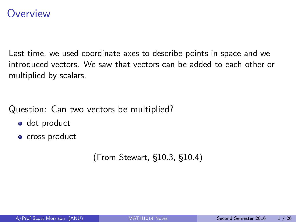### <span id="page-0-0"></span>**Overview**

Last time, we used coordinate axes to describe points in space and we introduced vectors. We saw that vectors can be added to each other or multiplied by scalars.

Question: Can two vectors be multiplied?

- dot product
- cross product

(From Stewart, §10.3, §10.4)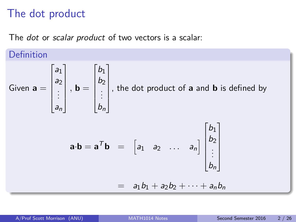# The dot product

The *dot* or *scalar product* of two vectors is a scalar:

Definition  
\nGiven 
$$
\mathbf{a} = \begin{bmatrix} a_1 \\ a_2 \\ \vdots \\ a_n \end{bmatrix}
$$
,  $\mathbf{b} = \begin{bmatrix} b_1 \\ b_2 \\ \vdots \\ b_n \end{bmatrix}$ , the dot product of  $\mathbf{a}$  and  $\mathbf{b}$  is defined by  
\n
$$
\mathbf{a} \cdot \mathbf{b} = \mathbf{a}^T \mathbf{b} = \begin{bmatrix} a_1 & a_2 & \dots & a_n \end{bmatrix} \begin{bmatrix} b_1 \\ b_2 \\ \vdots \\ b_n \end{bmatrix}
$$
\n
$$
= a_1b_1 + a_2b_2 + \dots + a_nb_n
$$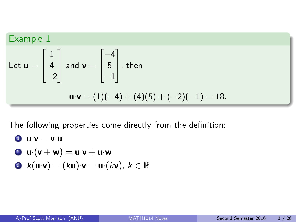Example 1  
\nLet 
$$
\mathbf{u} = \begin{bmatrix} 1 \\ 4 \\ -2 \end{bmatrix}
$$
 and  $\mathbf{v} = \begin{bmatrix} -4 \\ 5 \\ -1 \end{bmatrix}$ , then  
\n
$$
\mathbf{u} \cdot \mathbf{v} = (1)(-4) + (4)(5) + (-2)(-1) = 18.
$$

The following properties come directly from the definition:

\n- **0** 
$$
u \cdot v = v \cdot u
$$
\n- **0**  $u \cdot (v + w) = u \cdot v + u \cdot w$
\n- **0**  $h(u, v) = h(u, v) + u \cdot (uv) \cdot (uv)$
\n

$$
\bullet \ \ k(\mathbf{u}\cdot \mathbf{v})=(k\mathbf{u})\cdot \mathbf{v}=\mathbf{u}\cdot(k\mathbf{v}),\ k\in\mathbb{R}
$$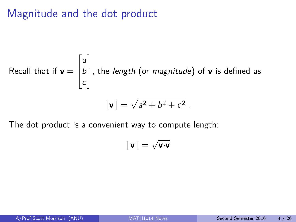# Magnitude and the dot product

Recall that if 
$$
\mathbf{v} = \begin{bmatrix} a \\ b \\ c \end{bmatrix}
$$
, the length (or magnitude) of **v** is defined as  

$$
\|\mathbf{v}\| = \sqrt{a^2 + b^2 + c^2}.
$$

The dot product is a convenient way to compute length:

$$
\|\mathbf{v}\| = \sqrt{\mathbf{v}\cdot\mathbf{v}}
$$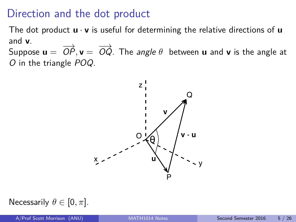## Direction and the dot product

The dot product **u** · **v** is useful for determining the relative directions of **u** and **v**.

Suppose  $\mathbf{u} = \overrightarrow{OP}, \mathbf{v} = \overrightarrow{OQ}$ . The *angle*  $\theta$  between  $\mathbf{u}$  and  $\mathbf{v}$  is the angle at O in the triangle POQ.



Necessarily  $\theta \in [0, \pi]$ .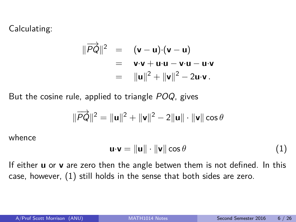Calculating:

$$
\begin{array}{rcl}\n\|\overrightarrow{PQ}\|^2 & = & (\mathbf{v} - \mathbf{u}) \cdot (\mathbf{v} - \mathbf{u}) \\
& = & \mathbf{v} \cdot \mathbf{v} + \mathbf{u} \cdot \mathbf{u} - \mathbf{v} \cdot \mathbf{u} - \mathbf{u} \cdot \mathbf{v} \\
& = & \|\mathbf{u}\|^2 + \|\mathbf{v}\|^2 - 2\mathbf{u} \cdot \mathbf{v}\n\end{array}
$$

But the cosine rule, applied to triangle POQ, gives

$$
\|\overrightarrow{PQ}\|^2=\|\mathbf{u}\|^2+\|\mathbf{v}\|^2-2\|\mathbf{u}\|\cdot\|\mathbf{v}\|\cos\theta
$$

whence

<span id="page-5-0"></span>
$$
\mathbf{u} \cdot \mathbf{v} = \|\mathbf{u}\| \cdot \|\mathbf{v}\| \cos \theta \tag{1}
$$

If either **u** or **v** are zero then the angle betwen them is not defined. In this case, however, [\(1\)](#page-5-0) still holds in the sense that both sides are zero.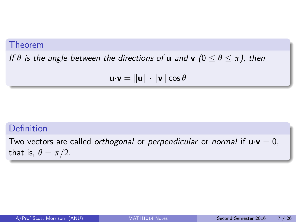#### Theorem

If  $\theta$  is the angle between the directions of **u** and **v**  $(0 \le \theta \le \pi)$ , then

 $\mathbf{u} \cdot \mathbf{v} = \|\mathbf{u}\| \cdot \|\mathbf{v}\| \cos \theta$ 

#### Definition

Two vectors are called *orthogonal* or *perpendicular* or *normal* if  $\mathbf{u} \cdot \mathbf{v} = 0$ , that is,  $\theta = \pi/2$ .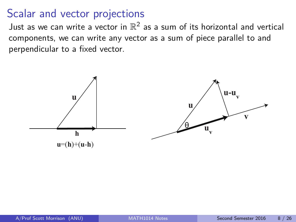# Scalar and vector projections

Just as we can write a vector in  $\mathbb{R}^2$  as a sum of its horizontal and vertical components, we can write any vector as a sum of piece parallel to and perpendicular to a fixed vector.

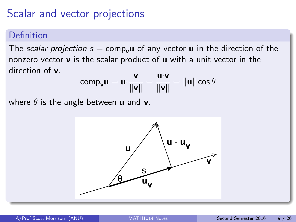# Scalar and vector projections

#### Definition

The scalar projection  $s = \text{comp}_{\mathbf{u}}\mathbf{u}$  of any vector **u** in the direction of the nonzero vector **v** is the scalar product of **u** with a unit vector in the direction of **v**.

$$
\text{comp}_{\mathbf{v}}\mathbf{u} = \mathbf{u} \cdot \frac{\mathbf{v}}{\|\mathbf{v}\|} = \frac{\mathbf{u} \cdot \mathbf{v}}{\|\mathbf{v}\|} = \|\mathbf{u}\| \cos \theta
$$

where  $\theta$  is the angle between **u** and **v**.

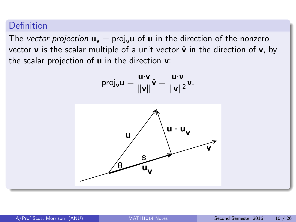#### Definition

The vector projection  $\mathbf{u}_v = \text{proj}_v \mathbf{u}$  of  $\mathbf{u}$  in the direction of the nonzero vector **v** is the scalar multiple of a unit vector  $\hat{v}$  in the direction of **v**, by the scalar projection of **u** in the direction **v**:

$$
\mathrm{proj}_{\mathbf{v}} \mathbf{u} = \frac{\mathbf{u} \cdot \mathbf{v}}{\|\mathbf{v}\|} \hat{\mathbf{v}} = \frac{\mathbf{u} \cdot \mathbf{v}}{\|\mathbf{v}\|^2} \mathbf{v}.
$$

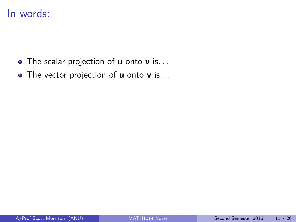### In words:

- The scalar projection of **u** onto **v** is. . .
- The vector projection of **u** onto **v** is. . .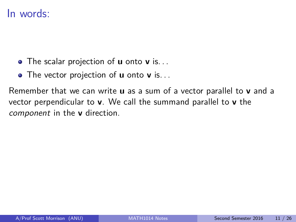### In words:

- The scalar projection of **u** onto **v** is. . .
- The vector projection of **u** onto **v** is. . .

Remember that we can write **u** as a sum of a vector parallel to **v** and a vector perpendicular to **v**. We call the summand parallel to **v** the component in the **v** direction.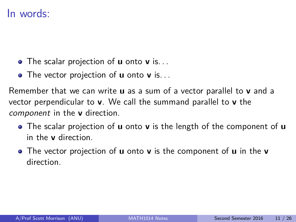### In words:

- The scalar projection of **u** onto **v** is. . .
- The vector projection of **u** onto **v** is. . .

Remember that we can write **u** as a sum of a vector parallel to **v** and a vector perpendicular to **v**. We call the summand parallel to **v** the component in the **v** direction.

- The scalar projection of **u** onto **v** is the length of the component of **u** in the **v** direction.
- The vector projection of **u** onto **v** is the component of **u** in the **v** direction.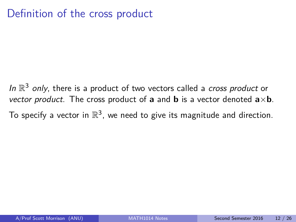# Definition of the cross product

In  $\mathbb{R}^3$  only, there is a product of two vectors called a cross product or vector product. The cross product of **a** and **b** is a vector denoted  $a \times b$ . To specify a vector in  $\mathbb{R}^3$ , we need to give its magnitude and direction.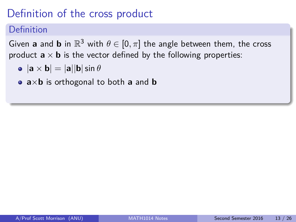# Definition of the cross product

### Definition

Given **a** and **b** in  $\mathbb{R}^3$  with  $\theta \in [0, \pi]$  the angle between them, the cross product  $\mathbf{a} \times \mathbf{b}$  is the vector defined by the following properties:

- $\bullet$   $|\mathbf{a} \times \mathbf{b}| = |\mathbf{a}||\mathbf{b}| \sin \theta$
- **a**×**b** is orthogonal to both **a** and **b**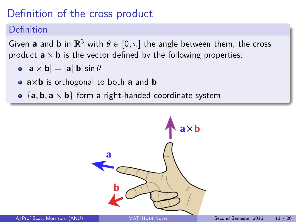# Definition of the cross product

### Definition

Given **a** and **b** in  $\mathbb{R}^3$  with  $\theta \in [0, \pi]$  the angle between them, the cross product  $\mathbf{a} \times \mathbf{b}$  is the vector defined by the following properties:

- $\bullet$   $|\mathbf{a} \times \mathbf{b}| = |\mathbf{a}||\mathbf{b}| \sin \theta$
- **a**×**b** is orthogonal to both **a** and **b**
- $\{a, b, a \times b\}$  form a right-handed coordinate system

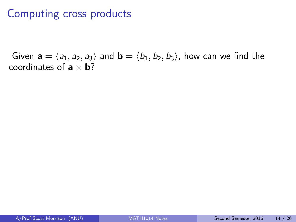# Computing cross products

Given  $\mathbf{a} = \langle a_1, a_2, a_3 \rangle$  and  $\mathbf{b} = \langle b_1, b_2, b_3 \rangle$ , how can we find the coordinates of  $\mathbf{a} \times \mathbf{b}$ ?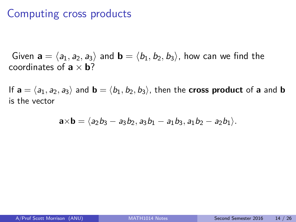## Computing cross products

Given  $\mathbf{a} = \langle a_1, a_2, a_3 \rangle$  and  $\mathbf{b} = \langle b_1, b_2, b_3 \rangle$ , how can we find the coordinates of  $\mathbf{a} \times \mathbf{b}$ ?

If  $\mathbf{a} = \langle a_1, a_2, a_3 \rangle$  and  $\mathbf{b} = \langle b_1, b_2, b_3 \rangle$ , then the **cross product** of **a** and **b** is the vector

$$
\mathbf{a} \times \mathbf{b} = \langle a_2b_3 - a_3b_2, a_3b_1 - a_1b_3, a_1b_2 - a_2b_1 \rangle.
$$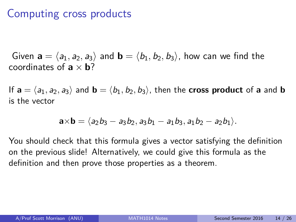# Computing cross products

Given  $\mathbf{a} = \langle a_1, a_2, a_3 \rangle$  and  $\mathbf{b} = \langle b_1, b_2, b_3 \rangle$ , how can we find the coordinates of  $\mathbf{a} \times \mathbf{b}$ ?

If  $\mathbf{a} = \langle a_1, a_2, a_3 \rangle$  and  $\mathbf{b} = \langle b_1, b_2, b_3 \rangle$ , then the **cross product** of **a** and **b** is the vector

$$
\mathbf{a} \times \mathbf{b} = \langle a_2b_3 - a_3b_2, a_3b_1 - a_1b_3, a_1b_2 - a_2b_1 \rangle.
$$

You should check that this formula gives a vector satisfying the definition on the previous slide! Alternatively, we could give this formula as the definition and then prove those properties as a theorem.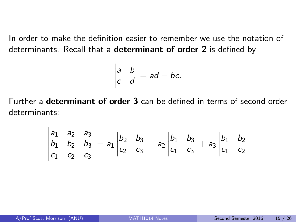In order to make the definition easier to remember we use the notation of determinants. Recall that a **determinant of order 2** is defined by

$$
\begin{vmatrix} a & b \\ c & d \end{vmatrix} = ad - bc.
$$

Further a **determinant of order 3** can be defined in terms of second order determinants:

$$
\begin{vmatrix} a_1 & a_2 & a_3 \ b_1 & b_2 & b_3 \ c_1 & c_2 & c_3 \ \end{vmatrix} = a_1 \begin{vmatrix} b_2 & b_3 \ c_2 & c_3 \end{vmatrix} - a_2 \begin{vmatrix} b_1 & b_3 \ c_1 & c_3 \end{vmatrix} + a_3 \begin{vmatrix} b_1 & b_2 \ c_1 & c_2 \end{vmatrix}
$$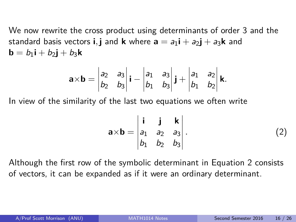We now rewrite the cross product using determinants of order 3 and the standard basis vectors **i**, **j** and **k** where  $\mathbf{a} = a_1 \mathbf{i} + a_2 \mathbf{j} + a_3 \mathbf{k}$  and  $\mathbf{b} = b_1 \mathbf{i} + b_2 \mathbf{j} + b_3 \mathbf{k}$ 

$$
\mathbf{a} \times \mathbf{b} = \begin{vmatrix} a_2 & a_3 \\ b_2 & b_3 \end{vmatrix} \mathbf{i} - \begin{vmatrix} a_1 & a_3 \\ b_1 & b_3 \end{vmatrix} \mathbf{j} + \begin{vmatrix} a_1 & a_2 \\ b_1 & b_2 \end{vmatrix} \mathbf{k}.
$$

In view of the similarity of the last two equations we often write

<span id="page-20-0"></span>
$$
\mathbf{a} \times \mathbf{b} = \begin{vmatrix} \mathbf{i} & \mathbf{j} & \mathbf{k} \\ a_1 & a_2 & a_3 \\ b_1 & b_2 & b_3 \end{vmatrix} . \tag{2}
$$

Although the first row of the symbolic determinant in Equation [2](#page-20-0) consists of vectors, it can be expanded as if it were an ordinary determinant.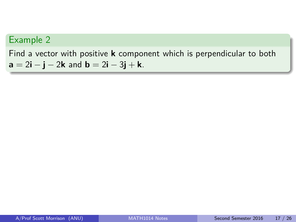Find a vector with positive **k** component which is perpendicular to both **a** =  $2i - j - 2k$  and **b** =  $2i - 3j + k$ .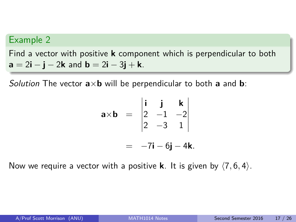Find a vector with positive **k** component which is perpendicular to both **a** =  $2i - j - 2k$  and **b** =  $2i - 3j + k$ .

Solution The vector **a**×**b** will be perpendicular to both **a** and **b**:

$$
\mathbf{a} \times \mathbf{b} = \begin{vmatrix} \mathbf{i} & \mathbf{j} & \mathbf{k} \\ 2 & -1 & -2 \\ 2 & -3 & 1 \end{vmatrix}
$$

$$
= -7\mathbf{i} - 6\mathbf{j} - 4\mathbf{k}.
$$

Now we require a vector with a positive **k**. It is given by  $\langle 7, 6, 4 \rangle$ .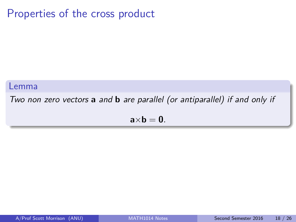# Properties of the cross product

#### Lemma

Two non zero vectors **a** and **b** are parallel (or antiparallel) if and only if

 $a \times b = 0$ .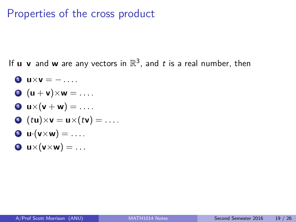# Properties of the cross product

If **u v** and **w** are any vectors in  $\mathbb{R}^3$ , and t is a real number, then

 $\mathbf{u} \times \mathbf{v} = - \dots$ 2  $(\mathbf{u} + \mathbf{v}) \times \mathbf{w} = \dots$  $\bullet$  **u**×(**v** + **w**) = ....  $\bullet$  (tu)×**v** = **u**×(t**v**) = ....  $\mathbf{v} \cdot (\mathbf{v} \times \mathbf{w}) = \dots$  $\bullet$   $\mathbf{u}\times(\mathbf{v}\times\mathbf{w})=\dots$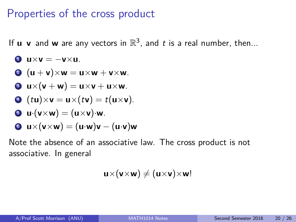## Properties of the cross product

If  $\mathbf u \mathbf v$  and  $\mathbf w$  are any vectors in  $\mathbb R^3$ , and  $t$  is a real number, then...

\n- **Q** 
$$
u \times v = -v \times u
$$
.
\n- **Q**  $(u + v) \times w = u \times w + v \times w$ .
\n- **Q**  $u \times (v + w) = u \times v + u \times w$ .
\n- **Q**  $(tu) \times v = u \times (tv) = t(u \times v)$ .
\n- **Q**  $u \cdot (v \times w) = (u \times v) \cdot w$ .
\n- **Q**  $u \times (v \times w) = (u \cdot w)v - (u \cdot v)w$ .
\n

Note the absence of an associative law. The cross product is not associative. In general

 $\mathbf{u}\times(\mathbf{v}\times\mathbf{w})\neq(\mathbf{u}\times\mathbf{v})\times\mathbf{w}$ !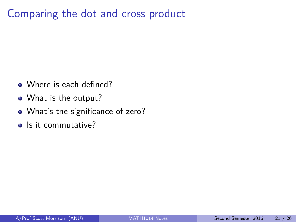# Comparing the dot and cross product

- Where is each defined?
- What is the output?
- What's the significance of zero?
- Is it commutative?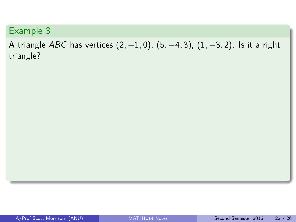A triangle ABC has vertices (2*,* −1*,* 0), (5*,* −4*,* 3), (1*,* −3*,* 2). Is it a right triangle?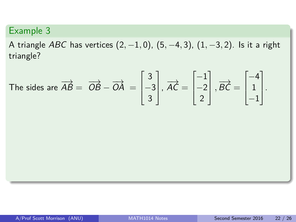A triangle ABC has vertices (2*,* −1*,* 0), (5*,* −4*,* 3), (1*,* −3*,* 2). Is it a right triangle?

The sides are 
$$
\overrightarrow{AB} = \overrightarrow{OB} - \overrightarrow{OA} = \begin{bmatrix} 3 \\ -3 \\ 3 \end{bmatrix}
$$
,  $\overrightarrow{AC} = \begin{bmatrix} -1 \\ -2 \\ 2 \end{bmatrix}$ ,  $\overrightarrow{BC} = \begin{bmatrix} -4 \\ 1 \\ -1 \end{bmatrix}$ .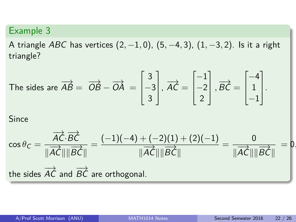A triangle ABC has vertices (2*,* −1*,* 0), (5*,* −4*,* 3), (1*,* −3*,* 2). Is it a right triangle?

The sides are 
$$
\overrightarrow{AB} = \overrightarrow{OB} - \overrightarrow{OA} = \begin{bmatrix} 3 \\ -3 \\ 3 \end{bmatrix}
$$
,  $\overrightarrow{AC} = \begin{bmatrix} -1 \\ -2 \\ 2 \end{bmatrix}$ ,  $\overrightarrow{BC} = \begin{bmatrix} -4 \\ 1 \\ -1 \end{bmatrix}$ .

**Since** 

$$
\cos \theta_C = \frac{\overrightarrow{AC} \cdot \overrightarrow{BC}}{\|\overrightarrow{AC}\| \|\overrightarrow{BC}\|} = \frac{(-1)(-4) + (-2)(1) + (2)(-1)}{\|\overrightarrow{AC}\| \|\overrightarrow{BC}\|} = \frac{0}{\|\overrightarrow{AC}\| \|\overrightarrow{BC}\|} = 0.
$$
  
the sides  $\overrightarrow{AC}$  and  $\overrightarrow{BC}$  are orthogonal.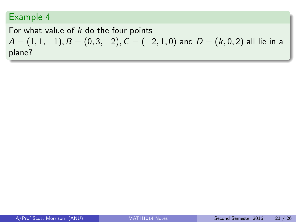#### For what value of  $k$  do the four points

 $A = (1, 1, -1), B = (0, 3, -2), C = (-2, 1, 0)$  and  $D = (k, 0, 2)$  all lie in a plane?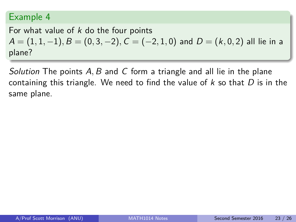#### For what value of  $k$  do the four points  $A = (1, 1, -1), B = (0, 3, -2), C = (-2, 1, 0)$  and  $D = (k, 0, 2)$  all lie in a plane?

Solution The points A*,* B and C form a triangle and all lie in the plane containing this triangle. We need to find the value of  $k$  so that  $D$  is in the same plane.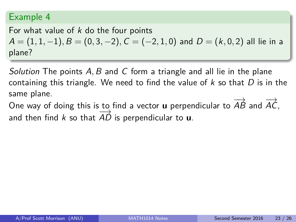### For what value of  $k$  do the four points  $A = (1, 1, -1), B = (0, 3, -2), C = (-2, 1, 0)$  and  $D = (k, 0, 2)$  all lie in a plane?

Solution The points A*,* B and C form a triangle and all lie in the plane containing this triangle. We need to find the value of  $k$  so that  $D$  is in the same plane.

One way of doing this is to find a vector **u** perpendicular to  $\overrightarrow{AB}$  and  $\overrightarrow{AC}$ , and then find k so that  $\overrightarrow{AD}$  is perpendicular to **u**.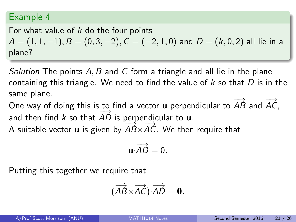### For what value of  $k$  do the four points  $A = (1, 1, -1), B = (0, 3, -2), C = (-2, 1, 0)$  and  $D = (k, 0, 2)$  all lie in a plane?

Solution The points A*,* B and C form a triangle and all lie in the plane containing this triangle. We need to find the value of  $k$  so that  $D$  is in the same plane.

One way of doing this is to find a vector **u** perpendicular to  $\overrightarrow{AB}$  and  $\overrightarrow{AC}$ , and then find k so that  $\overrightarrow{AD}$  is perpendicular to **u**.

A suitable vector **u** is given by  $\overrightarrow{AB} \times \overrightarrow{AC}$ . We then require that

$$
\mathbf{u}\cdot \overrightarrow{AD}=0.
$$

Putting this together we require that

$$
(\overrightarrow{AB}\times\overrightarrow{AC})\cdot\overrightarrow{AD}=0.
$$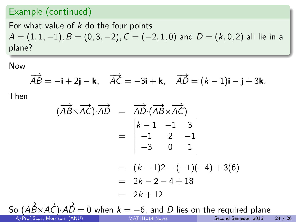#### Example (continued)

For what value of  $k$  do the four points  $A = (1, 1, -1), B = (0, 3, -2), C = (-2, 1, 0)$  and  $D = (k, 0, 2)$  all lie in a plane?

Now

$$
\overrightarrow{AB} = -\mathbf{i} + 2\mathbf{j} - \mathbf{k}, \quad \overrightarrow{AC} = -3\mathbf{i} + \mathbf{k}, \quad \overrightarrow{AD} = (k-1)\mathbf{i} - \mathbf{j} + 3\mathbf{k}.
$$

Then

$$
(\overrightarrow{AB} \times \overrightarrow{AC}) \cdot \overrightarrow{AD} = \overrightarrow{AD} \cdot (\overrightarrow{AB} \times \overrightarrow{AC})
$$
  
\n
$$
= \begin{vmatrix} k-1 & -1 & 3 \\ -1 & 2 & -1 \\ -3 & 0 & 1 \end{vmatrix}
$$
  
\n
$$
= (k-1)2 - (-1)(-4) + 3(6)
$$
  
\n
$$
= 2k - 2 - 4 + 18
$$
  
\n
$$
= 2k + 12
$$
  
\nSo  $(\overrightarrow{AB} \times \overrightarrow{AC}) \cdot \overrightarrow{AD} = 0$  when  $k = -6$ , and *D* lies on the required plane

A/Prof Scott Morrison (ANU) and [MATH1014 Notes](#page-0-0) Second Semester 2016 24 / 26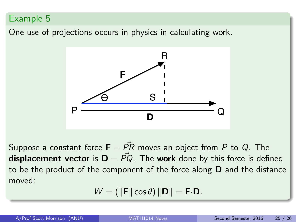One use of projections occurs in physics in calculating work.



Suppose a constant force  $\mathbf{F} = P\overline{R}$  moves an object from P to Q. The **displacement vector** is  $D = PQ$ . The **work** done by this force is defined to be the product of the component of the force along **D** and the distance moved:

$$
W=(\|\mathbf{F}\|\cos\theta)\|\mathbf{D}\|=\mathbf{F}\cdot\mathbf{D}.
$$